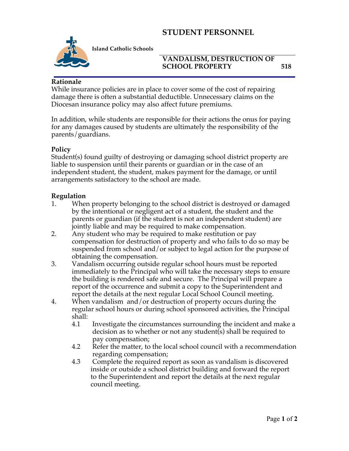# **STUDENT PERSONNEL**



**Island Catholic Schools** 

### **VANDALISM, DESTRUCTION OF SCHOOL PROPERTY 518**

#### **Rationale**

While insurance policies are in place to cover some of the cost of repairing damage there is often a substantial deductible. Unnecessary claims on the Diocesan insurance policy may also affect future premiums.

In addition, while students are responsible for their actions the onus for paying for any damages caused by students are ultimately the responsibility of the parents/guardians.

#### **Policy**

Student(s) found guilty of destroying or damaging school district property are liable to suspension until their parents or guardian or in the case of an independent student, the student, makes payment for the damage, or until arrangements satisfactory to the school are made.

#### **Regulation**

- 1. When property belonging to the school district is destroyed or damaged by the intentional or negligent act of a student, the student and the parents or guardian (if the student is not an independent student) are jointly liable and may be required to make compensation.
- 2. Any student who may be required to make restitution or pay compensation for destruction of property and who fails to do so may be suspended from school and/or subject to legal action for the purpose of obtaining the compensation.
- 3. Vandalism occurring outside regular school hours must be reported immediately to the Principal who will take the necessary steps to ensure the building is rendered safe and secure. The Principal will prepare a report of the occurrence and submit a copy to the Superintendent and report the details at the next regular Local School Council meeting.
- 4. When vandalism and/or destruction of property occurs during the regular school hours or during school sponsored activities, the Principal shall:
	- 4.1 Investigate the circumstances surrounding the incident and make a decision as to whether or not any student(s) shall be required to pay compensation;
	- 4.2 Refer the matter, to the local school council with a recommendation regarding compensation;
	- 4.3 Complete the required report as soon as vandalism is discovered inside or outside a school district building and forward the report to the Superintendent and report the details at the next regular council meeting.